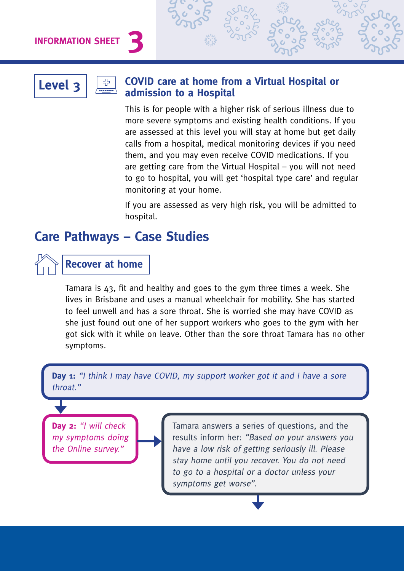**INFORMATION SHEET** 



### **Level 3**  $\boxed{ }$  **COVID care at home from a Virtual Hospital or admission to a Hospital**

This is for people with a higher risk of serious illness due to more severe symptoms and existing health conditions. If you are assessed at this level you will stay at home but get daily calls from a hospital, medical monitoring devices if you need them, and you may even receive COVID medications. If you are getting care from the Virtual Hospital – you will not need to go to hospital, you will get 'hospital type care' and regular monitoring at your home.

If you are assessed as very high risk, you will be admitted to hospital.

## **Care Pathways – Case Studies**

## **Recover at home**

Tamara is 43, fit and healthy and goes to the gym three times a week. She lives in Brisbane and uses a manual wheelchair for mobility. She has started to feel unwell and has a sore throat. She is worried she may have COVID as she just found out one of her support workers who goes to the gym with her got sick with it while on leave. Other than the sore throat Tamara has no other symptoms.

**Day 1:** "I think I may have COVID, my support worker got it and I have a sore throat."

Day 2: "I will check my symptoms doing the Online survey."

Tamara answers a series of questions, and the results inform her: "Based on your answers you have a low risk of getting seriously ill. Please stay home until you recover. You do not need to go to a hospital or a doctor unless your symptoms get worse".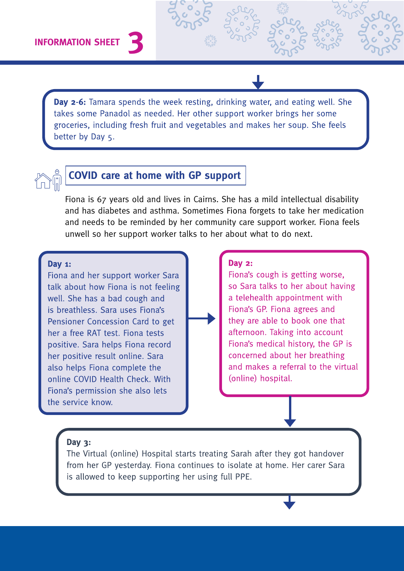Day 2-6: Tamara spends the week resting, drinking water, and eating well. She takes some Panadol as needed. Her other support worker brings her some groceries, including fresh fruit and vegetables and makes her soup. She feels better by Day 5.



## **COVID care at home with GP support**

Fiona is 67 years old and lives in Cairns. She has a mild intellectual disability and has diabetes and asthma. Sometimes Fiona forgets to take her medication and needs to be reminded by her community care support worker. Fiona feels unwell so her support worker talks to her about what to do next.

#### Dav  $1$ :

Fiona and her support worker Sara talk about how Fiona is not feeling well. She has a bad cough and is breathless. Sara uses Fiona's Pensioner Concession Card to get her a free RAT test. Fiona tests positive. Sara helps Fiona record her positive result online. Sara also helps Fiona complete the online COVID Health Check, With Fiona's permission she also lets the service know.

#### **Day 2:**

Fiona's cough is getting worse, so Sara talks to her about having a telehealth appointment with Fiona's GP. Fiona agrees and they are able to book one that afternoon. Taking into account Fiona's medical history, the GP is concerned about her breathing and makes a referral to the virtual (online) hospital.

#### Day  $3:$

The Virtual (online) Hospital starts treating Sarah after they got handover from her GP yesterday. Fiona continues to isolate at home. Her carer Sara is allowed to keep supporting her using full PPE.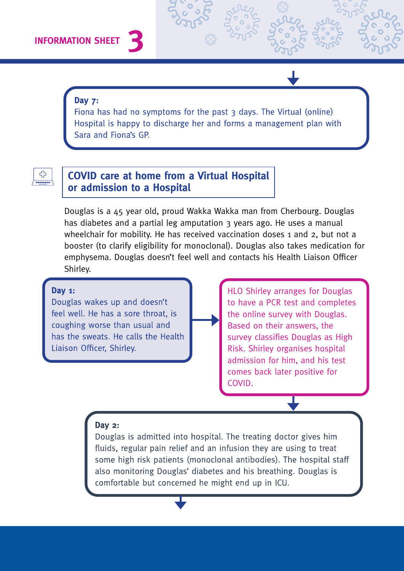#### **Day 7:**

Fiona has had no symptoms for the past 3 days. The Virtual (online) Hospital is happy to discharge her and forms a management plan with Sara and Fiona's GP.

# ⊕

## **COVID care at home from a Virtual Hospital or admission to a Hospital**

Douglas is a 45 year old, proud Wakka Wakka man from Cherbourg. Douglas has diabetes and a partial leg amputation 3 years ago. He uses a manual wheelchair for mobility. He has received vaccination doses 1 and 2, but not a booster (to clarify eligibility for monoclonal). Douglas also takes medication for emphysema. Douglas doesn't feel well and contacts his Health Liaison Officer Shirley.

#### Day  $1:$

Douglas wakes up and doesn't feel well. He has a sore throat, is coughing worse than usual and has the sweats. He calls the Health Liaison Officer, Shirley.

HLO Shirley arranges for Douglas to have a PCR test and completes the online survey with Douglas. Based on their answers, the survey classifies Douglas as High Risk. Shirley organises hospital admission for him, and his test comes back later positive for COVID.

#### Day  $2:$

Douglas is admitted into hospital. The treating doctor gives him fluids, regular pain relief and an infusion they are using to treat some high risk patients (monoclonal antibodies). The hospital staff also monitoring Douglas' diabetes and his breathing. Douglas is comfortable but concerned he might end up in ICU.